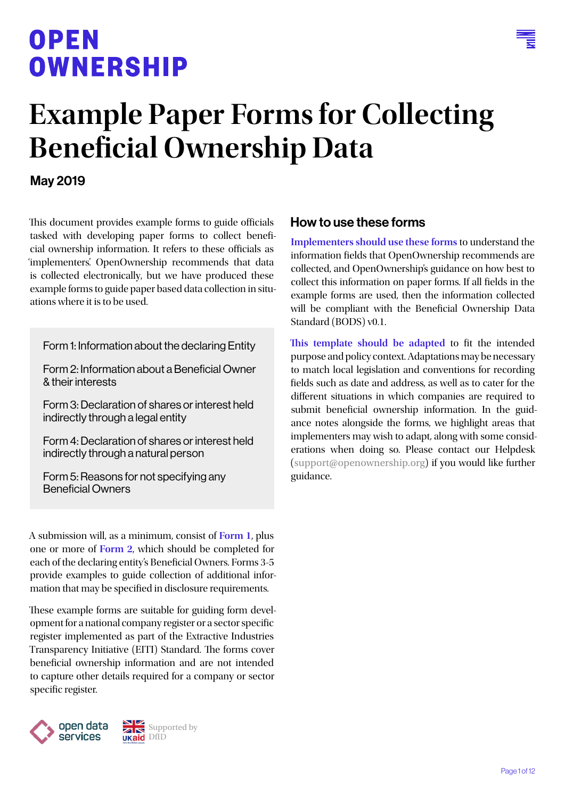## OPEN **OWNERSHIP**



# **Example Paper Forms for Collecting Beneficial Ownership Data**

#### May 2019

This document provides example forms to guide officials tasked with developing paper forms to collect beneficial ownership information. It refers to these officials as 'implementers'. OpenOwnership recommends that data is collected electronically, but we have produced these example forms to guide paper based data collection in situations where it is to be used.

[Form 1: Information about the declaring Entity](#page-1-0)

[Form 2: Information about a Beneficial Owner](#page-2-0)  [& their interests](#page-2-0)

[Form 3: Declaration of shares or interest held](#page-7-0)  [indirectly through a legal entity](#page-7-0)

[Form 4: Declaration of shares or interest held](#page-8-0)  [indirectly through a natural person](#page-8-0)

[Form 5: Reasons for not specifying any](#page-10-0)  [Beneficial Owners](#page-10-0)

A submission will, as a minimum, consist of **Form 1**, plus one or more of **Form 2**, which should be completed for each of the declaring entity's Beneficial Owners. Forms 3-5 provide examples to guide collection of additional information that may be specified in disclosure requirements.

These example forms are suitable for guiding form development for a national company register or a sector specific register implemented as part of the Extractive Industries Transparency Initiative (EITI) Standard. The forms cover beneficial ownership information and are not intended to capture other details required for a company or sector specific register.



#### How to use these forms

**Implementers should use these forms** to understand the information fields that OpenOwnership recommends are collected, and OpenOwnership's guidance on how best to collect this information on paper forms. If all fields in the example forms are used, then the information collected will be compliant with the Beneficial Ownership Data Standard (BODS) v0.1.

**This template should be adapted** to fit the intended purpose and policy context. Adaptations may be necessary to match local legislation and conventions for recording fields such as date and address, as well as to cater for the different situations in which companies are required to submit beneficial ownership information. In the guidance notes alongside the forms, we highlight areas that implementers may wish to adapt, along with some considerations when doing so. Please contact our Helpdesk ([support@openownership.org](mailto:support@openownership.org)) if you would like further guidance.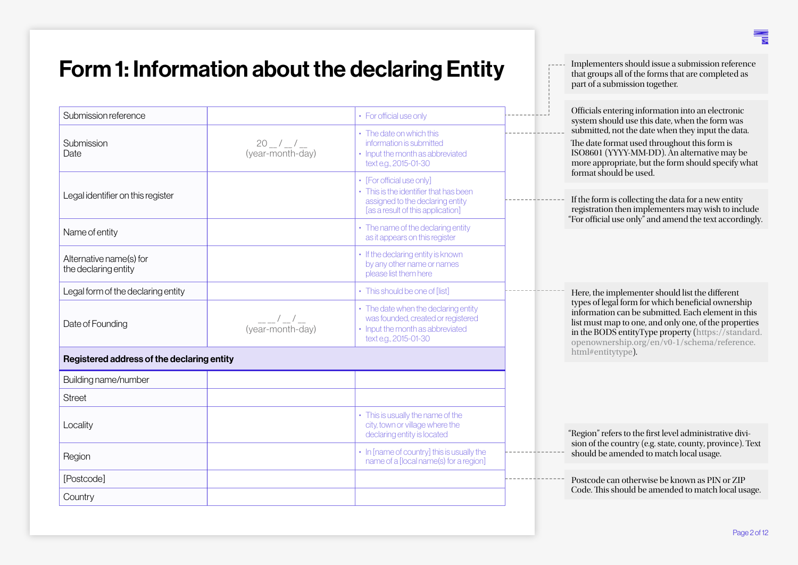### <span id="page-1-0"></span>Form 1: Information about the declaring Entity

| Submission reference                            |                                  | • For official use only                                                                                                                      | Officials entering information into an electronic<br>system should use this date, when the form was                                                                                                                                                                    |
|-------------------------------------------------|----------------------------------|----------------------------------------------------------------------------------------------------------------------------------------------|------------------------------------------------------------------------------------------------------------------------------------------------------------------------------------------------------------------------------------------------------------------------|
| Submission<br>Date                              | $20 - 1 - 1$<br>(year-month-day) | • The date on which this<br>information is submitted<br>• Input the month as abbreviated<br>text e.g., 2015-01-30                            | submitted, not the date when they input the data.<br>The date format used throughout this form is<br>ISO8601 (YYYY-MM-DD). An alternative may be<br>more appropriate, but the form should specify what                                                                 |
| Legal identifier on this register               |                                  | • [For official use only]<br>• This is the identifier that has been<br>assigned to the declaring entity<br>[as a result of this application] | format should be used.<br>If the form is collecting the data for a new entity<br>registration then implementers may wish to include<br>"For official use only" and amend the text accordingly.                                                                         |
| Name of entity                                  |                                  | • The name of the declaring entity<br>as it appears on this register                                                                         |                                                                                                                                                                                                                                                                        |
| Alternative name(s) for<br>the declaring entity |                                  | • If the declaring entity is known<br>by any other name or names<br>please list them here                                                    |                                                                                                                                                                                                                                                                        |
| Legal form of the declaring entity              |                                  | • This should be one of [list]                                                                                                               | Here, the implementer should list the different                                                                                                                                                                                                                        |
| Date of Founding                                | $(year-month-day)$               | • The date when the declaring entity<br>was founded, created or registered<br>• Input the month as abbreviated<br>text e.g., 2015-01-30      | types of legal form for which beneficial ownership<br>information can be submitted. Each element in this<br>list must map to one, and only one, of the properties<br>in the BODS entityType property (https://standard.<br>openownership.org/en/v0-1/schema/reference. |
| Registered address of the declaring entity      |                                  |                                                                                                                                              | html#entitytype).                                                                                                                                                                                                                                                      |
| Building name/number                            |                                  |                                                                                                                                              |                                                                                                                                                                                                                                                                        |
| <b>Street</b>                                   |                                  |                                                                                                                                              |                                                                                                                                                                                                                                                                        |
| Locality                                        |                                  | • This is usually the name of the<br>city, town or village where the<br>declaring entity is located                                          | "Region" refers to the first level administrative divi-                                                                                                                                                                                                                |
| Region                                          |                                  | • In [name of country] this is usually the<br>name of a [local name(s) for a region]                                                         | sion of the country (e.g. state, county, province). Text<br>should be amended to match local usage.                                                                                                                                                                    |
| [Postcode]                                      |                                  |                                                                                                                                              | Postcode can otherwise be known as PIN or ZIP                                                                                                                                                                                                                          |
| Country                                         |                                  |                                                                                                                                              | Code. This should be amended to match local usage.                                                                                                                                                                                                                     |

Implementers should issue a submission reference that groups all of the forms that are completed as

part of a submission together.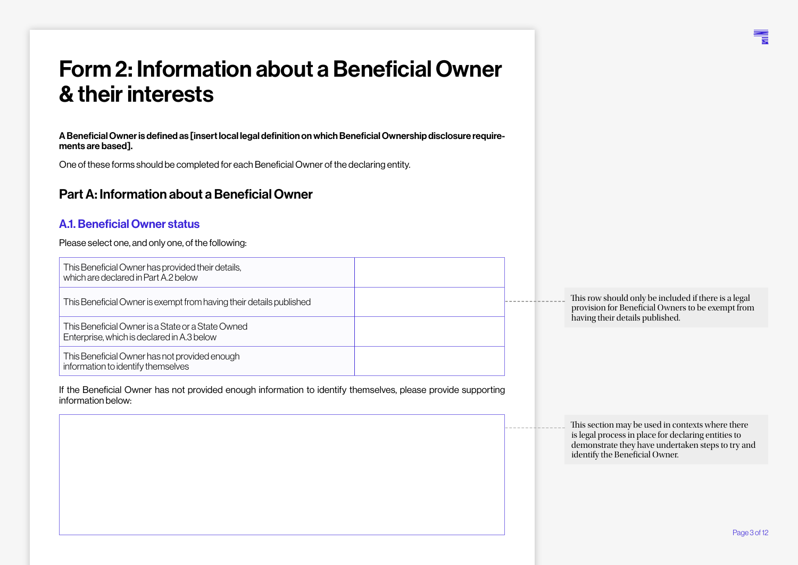### <span id="page-2-0"></span>Form 2: Information about a Beneficial Owner & their interests

A Beneficial Owner is defined as [insert local legal definition on which Beneficial Ownership disclosure requirements are based].

One of these forms should be completed for each Beneficial Owner of the declaring entity.

#### Part A: Information about a Beneficial Owner

#### A.1. Beneficial Owner status

Please select one, and only one, of the following:

| This Beneficial Owner has provided their details,<br>which are declared in Part A.2 below       |  |                                                                                           |
|-------------------------------------------------------------------------------------------------|--|-------------------------------------------------------------------------------------------|
| This Beneficial Owner is exempt from having their details published                             |  | This row should only be included if there i<br>provision for Beneficial Owners to be exer |
| This Beneficial Owner is a State or a State Owned<br>Enterprise, which is declared in A.3 below |  | having their details published.                                                           |
| This Beneficial Owner has not provided enough<br>information to identify themselves             |  |                                                                                           |

If the Beneficial Owner has not provided enough information to identify themselves, please provide supporting information below:

s a legal npt from

This section may be used in contexts where there is legal process in place for declaring entities to demonstrate they have undertaken steps to try and identify the Beneficial Owner.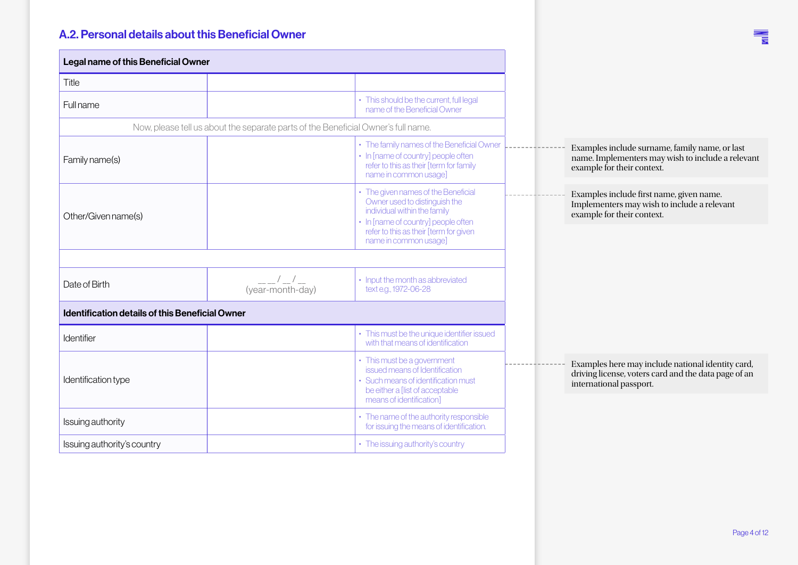#### A.2. Personal details about this Beneficial Owner

| Legal name of this Beneficial Owner             |                                                                                   |                                                                                                                                                                                                                |
|-------------------------------------------------|-----------------------------------------------------------------------------------|----------------------------------------------------------------------------------------------------------------------------------------------------------------------------------------------------------------|
| Title                                           |                                                                                   |                                                                                                                                                                                                                |
| <b>Full name</b>                                |                                                                                   | • This should be the current, full legal<br>name of the Beneficial Owner                                                                                                                                       |
|                                                 | Now, please tell us about the separate parts of the Beneficial Owner's full name. |                                                                                                                                                                                                                |
| Family name(s)                                  |                                                                                   | • The family names of the Beneficial Owner<br>• In [name of country] people often<br>refer to this as their [term for family<br>name in common usage]                                                          |
| Other/Given name(s)                             |                                                                                   | • The given names of the Beneficial<br>Owner used to distinguish the<br>individual within the family<br>• In [name of country] people often<br>refer to this as their [term for given<br>name in common usage] |
|                                                 |                                                                                   |                                                                                                                                                                                                                |
| Date of Birth                                   | (year-month-day)                                                                  | • Input the month as abbreviated<br>text e.g., 1972-06-28                                                                                                                                                      |
| Identification details of this Beneficial Owner |                                                                                   |                                                                                                                                                                                                                |
| Identifier                                      |                                                                                   | • This must be the unique identifier issued<br>with that means of identification                                                                                                                               |
| Identification type                             |                                                                                   | • This must be a government<br>issued means of Identification<br>• Such means of identification must<br>be either a [list of acceptable<br>means of identification]                                            |
| Issuing authority                               |                                                                                   | • The name of the authority responsible<br>for issuing the means of identification.                                                                                                                            |
| Issuing authority's country                     |                                                                                   | • The issuing authority's country                                                                                                                                                                              |

**THE**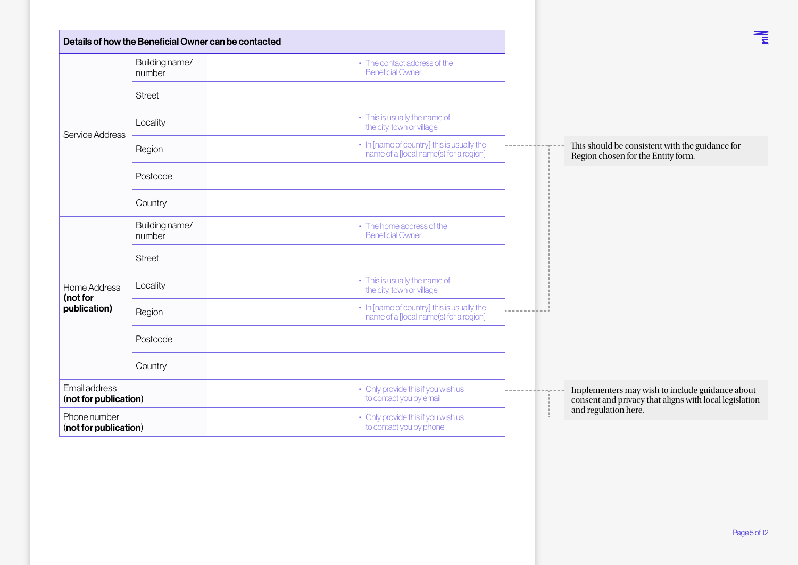|                                        | Details of how the Beneficial Owner can be contacted |                                                                                      | 青                                                                                                         |
|----------------------------------------|------------------------------------------------------|--------------------------------------------------------------------------------------|-----------------------------------------------------------------------------------------------------------|
|                                        | Building name/<br>number                             | • The contact address of the<br><b>Beneficial Owner</b>                              |                                                                                                           |
|                                        | <b>Street</b>                                        |                                                                                      |                                                                                                           |
| Service Address                        | Locality                                             | • This is usually the name of<br>the city, town or village                           |                                                                                                           |
|                                        | Region                                               | • In [name of country] this is usually the<br>name of a [local name(s) for a region] | This should be consistent with the guidance for<br>Region chosen for the Entity form.                     |
|                                        | Postcode                                             |                                                                                      |                                                                                                           |
|                                        | Country                                              |                                                                                      |                                                                                                           |
|                                        | Building name/<br>number                             | • The home address of the<br><b>Beneficial Owner</b>                                 |                                                                                                           |
|                                        | <b>Street</b>                                        |                                                                                      |                                                                                                           |
| Home Address                           | Locality                                             | • This is usually the name of<br>the city, town or village                           |                                                                                                           |
| (not for<br>publication)               | Region                                               | • In [name of country] this is usually the<br>name of a [local name(s) for a region] |                                                                                                           |
|                                        | Postcode                                             |                                                                                      |                                                                                                           |
|                                        | Country                                              |                                                                                      |                                                                                                           |
| Email address<br>(not for publication) |                                                      | • Only provide this if you wish us<br>to contact you by email                        | Implementers may wish to include guidance about<br>consent and privacy that aligns with local legislation |
| Phone number<br>(not for publication)  |                                                      | • Only provide this if you wish us<br>to contact you by phone                        | and regulation here.                                                                                      |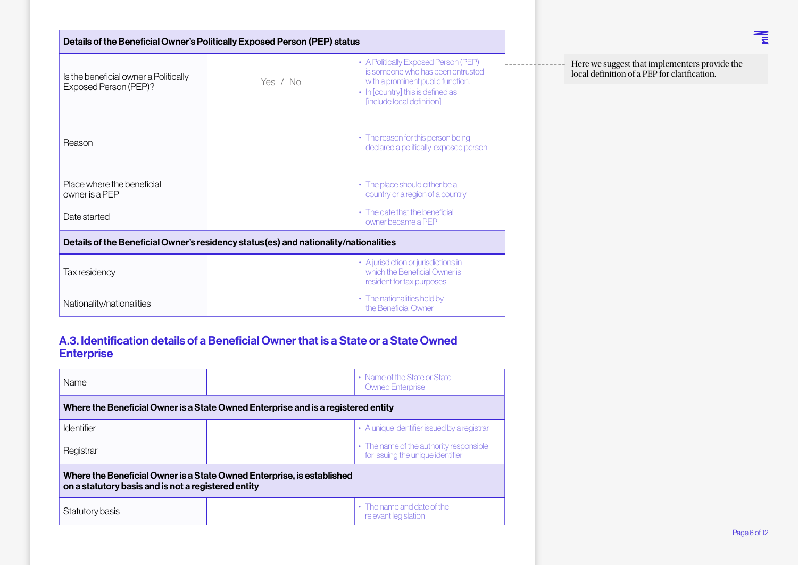| Details of the Beneficial Owner's Politically Exposed Person (PEP) status                                           |          |                                                                                                                                                                                   |  |  |  |
|---------------------------------------------------------------------------------------------------------------------|----------|-----------------------------------------------------------------------------------------------------------------------------------------------------------------------------------|--|--|--|
| Is the beneficial owner a Politically<br>Exposed Person (PEP)?                                                      | Yes / No | • A Politically Exposed Person (PEP)<br>is someone who has been entrusted<br>with a prominent public function.<br>• In [country] this is defined as<br>[include local definition] |  |  |  |
| Reason                                                                                                              |          | • The reason for this person being<br>declared a politically-exposed person                                                                                                       |  |  |  |
| Place where the beneficial<br>owner is a PEP                                                                        |          | • The place should either be a<br>country or a region of a country                                                                                                                |  |  |  |
| • The date that the beneficial<br>Date started<br>owner became a PEP                                                |          |                                                                                                                                                                                   |  |  |  |
| Details of the Beneficial Owner's residency status(es) and nationality/nationalities                                |          |                                                                                                                                                                                   |  |  |  |
| • A jurisdiction or jurisdictions in<br>which the Beneficial Owner is<br>Tax residency<br>resident for tax purposes |          |                                                                                                                                                                                   |  |  |  |
| Nationality/nationalities                                                                                           |          | • The nationalities held by<br>the Beneficial Owner                                                                                                                               |  |  |  |

#### A.3. Identification details of a Beneficial Owner that is a State or a State Owned **Enterprise**

| Name                                                                                                                          |  | • Name of the State or State<br><b>Owned Enterprise</b>                      |  |  |
|-------------------------------------------------------------------------------------------------------------------------------|--|------------------------------------------------------------------------------|--|--|
| Where the Beneficial Owner is a State Owned Enterprise and is a registered entity                                             |  |                                                                              |  |  |
| <b>Identifier</b>                                                                                                             |  | • A unique identifier issued by a registrar                                  |  |  |
| Registrar                                                                                                                     |  | • The name of the authority responsible<br>for issuing the unique identifier |  |  |
| Where the Beneficial Owner is a State Owned Enterprise, is established<br>on a statutory basis and is not a registered entity |  |                                                                              |  |  |
| Statutory basis                                                                                                               |  | • The name and date of the<br>relevant legislation                           |  |  |

Here we suggest that implementers provide the local definition of a PEP for clarification.

鼍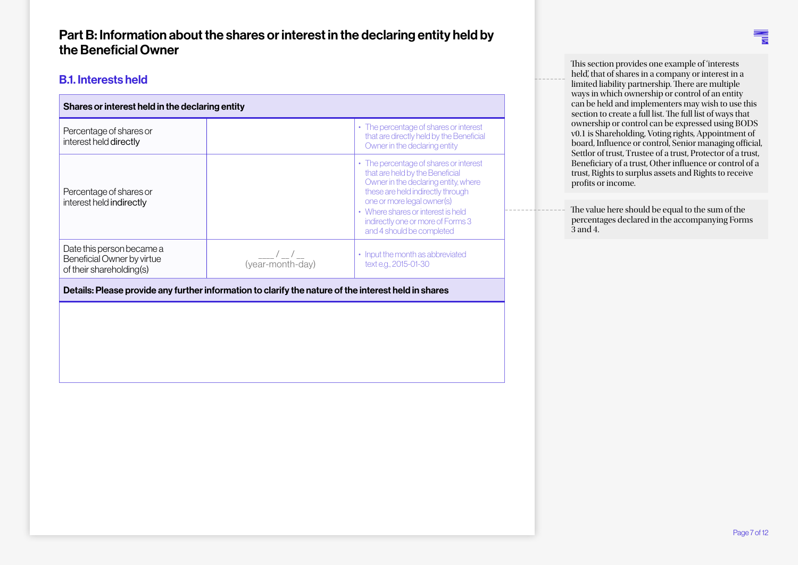#### Part B: Information about the shares or interest in the declaring entity held by the Beneficial Owner

#### B.1. Interests held

| Shares or interest held in the declaring entity                                     |                                   |                                                                                                                                                                                                                                                                                              |  |
|-------------------------------------------------------------------------------------|-----------------------------------|----------------------------------------------------------------------------------------------------------------------------------------------------------------------------------------------------------------------------------------------------------------------------------------------|--|
| Percentage of shares or<br>interest held directly                                   |                                   | • The percentage of shares or interest<br>that are directly held by the Beneficial<br>Owner in the declaring entity                                                                                                                                                                          |  |
| Percentage of shares or<br>interest held indirectly                                 |                                   | • The percentage of shares or interest<br>that are held by the Beneficial<br>Owner in the declaring entity, where<br>these are held indirectly through<br>one or more legal owner(s)<br>• Where shares or interest is held<br>indirectly one or more of Forms 3<br>and 4 should be completed |  |
| Date this person became a<br>Beneficial Owner by virtue<br>of their shareholding(s) | $\frac{1}{2}$<br>(year-month-day) | • Input the month as abbreviated<br>text e.g., 2015-01-30                                                                                                                                                                                                                                    |  |

Details: Please provide any further information to clarify the nature of the interest held in shares

This section provides one example of 'interests held', that of shares in a company or interest in a limited liability partnership. There are multiple ways in which ownership or control of an entity can be held and implementers may wish to use this section to create a full list. The full list of ways that ownership or control can be expressed using BODS v0.1 is Shareholding, Voting rights, Appointment of board, Influence or control, Senior managing official, Settlor of trust, Trustee of a trust, Protector of a trust, Beneficiary of a trust, Other influence or control of a trust, Rights to surplus assets and Rights to receive profits or income.

The value here should be equal to the sum of the percentages declared in the accompanying Forms 3 and 4.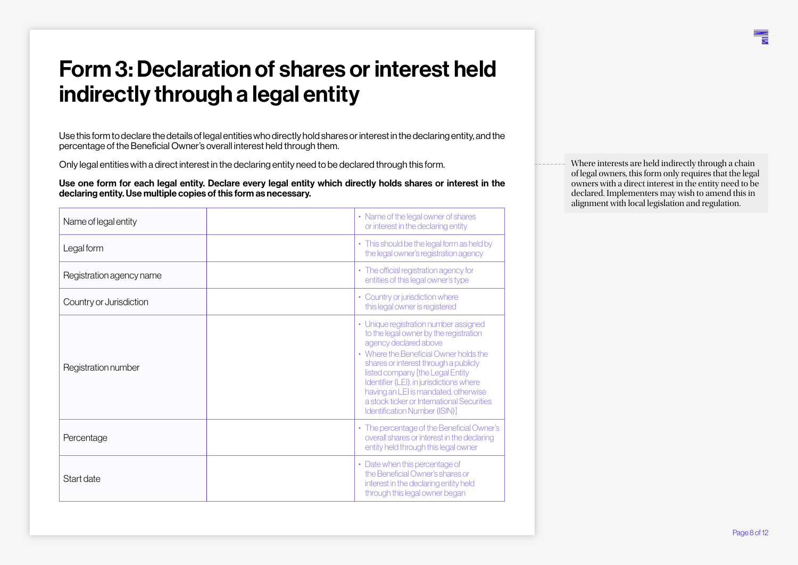### <span id="page-7-0"></span>Form 3: Declaration of shares or interest held indirectly through a legal entity

Use this form to declare the details of legal entities who directly hold shares or interest in the declaring entity, and the percentage of the Beneficial Owner's overall interest held through them.

Only legal entities with a direct interest in the declaring entity need to be declared through this form.

Use one form for each legal entity. Declare every legal entity which directly holds shares or interest in the declaring entity. Use multiple copies of this form as necessary.

| Name of legal entity     | • Name of the legal owner of shares<br>or interest in the declaring entity                                                                                                                                                                                                                                                                                                                               |
|--------------------------|----------------------------------------------------------------------------------------------------------------------------------------------------------------------------------------------------------------------------------------------------------------------------------------------------------------------------------------------------------------------------------------------------------|
| Legal form               | • This should be the legal form as held by<br>the legal owner's registration agency                                                                                                                                                                                                                                                                                                                      |
| Registration agency name | • The official registration agency for<br>entities of this legal owner's type                                                                                                                                                                                                                                                                                                                            |
| Country or Jurisdiction  | • Country or jurisdiction where<br>this legal owner is registered                                                                                                                                                                                                                                                                                                                                        |
| Registration number      | • Unique registration number assigned<br>to the legal owner by the registration<br>agency declared above<br>• Where the Beneficial Owner holds the<br>shares or interest through a publicly<br>listed company [the Legal Entity<br>Identifier (LEI), in jurisdictions where<br>having an LEI is mandated, otherwise<br>a stock ticker or International Securities<br><b>Identification Number (ISIN)</b> |
| Percentage               | • The percentage of the Beneficial Owner's<br>overall shares or interest in the declaring<br>entity held through this legal owner                                                                                                                                                                                                                                                                        |
| Start date               | • Date when this percentage of<br>the Beneficial Owner's shares or<br>interest in the declaring entity held<br>through this legal owner began                                                                                                                                                                                                                                                            |

Where interests are held indirectly through a chain of legal owners, this form only requires that the legal owners with a direct interest in the entity need to be declared. Implementers may wish to amend this in alignment with local legislation and regulation.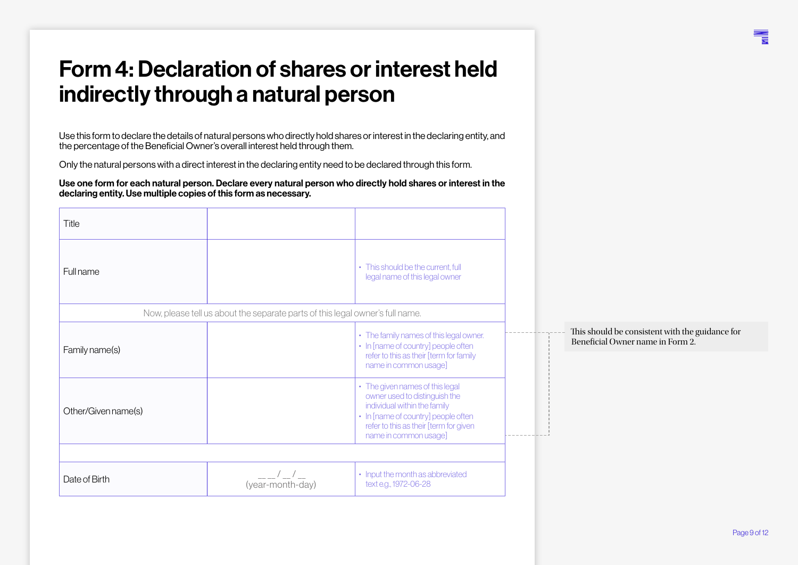### <span id="page-8-0"></span>Form 4: Declaration of shares or interest held indirectly through a natural person

Use this form to declare the details of natural persons who directly hold shares or interest in the declaring entity, and the percentage of the Beneficial Owner's overall interest held through them.

Only the natural persons with a direct interest in the declaring entity need to be declared through this form.

Use one form for each natural person. Declare every natural person who directly hold shares or interest in the declaring entity. Use multiple copies of this form as necessary.

| Title               |                                                                               |                                                                                                                                                                                                            |                                                                                     |  |
|---------------------|-------------------------------------------------------------------------------|------------------------------------------------------------------------------------------------------------------------------------------------------------------------------------------------------------|-------------------------------------------------------------------------------------|--|
| <b>Full name</b>    |                                                                               | • This should be the current, full<br>legal name of this legal owner                                                                                                                                       |                                                                                     |  |
|                     | Now, please tell us about the separate parts of this legal owner's full name. |                                                                                                                                                                                                            |                                                                                     |  |
| Family name(s)      |                                                                               | • The family names of this legal owner.<br>• In [name of country] people often<br>refer to this as their [term for family<br>name in common usage]                                                         | This should be consistent with the guidance for<br>Beneficial Owner name in Form 2. |  |
| Other/Given name(s) |                                                                               | • The given names of this legal<br>owner used to distinguish the<br>individual within the family<br>• In [name of country] people often<br>refer to this as their [term for given<br>name in common usage] |                                                                                     |  |
|                     |                                                                               |                                                                                                                                                                                                            |                                                                                     |  |
| Date of Birth       | (year-month-day)                                                              | • Input the month as abbreviated<br>text e.g., 1972-06-28                                                                                                                                                  |                                                                                     |  |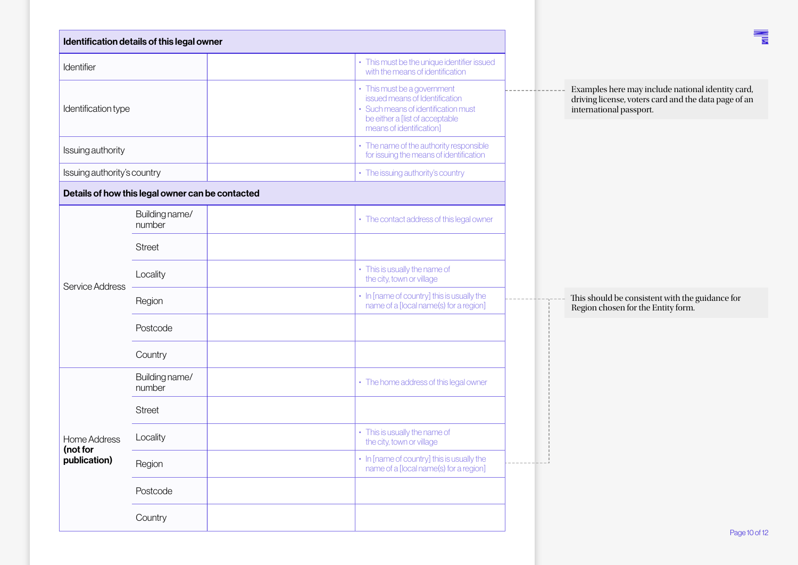| Identification details of this legal owner      |                                                  |                                                                                                                                                                     |
|-------------------------------------------------|--------------------------------------------------|---------------------------------------------------------------------------------------------------------------------------------------------------------------------|
| Identifier                                      |                                                  | • This must be the unique identifier issued<br>with the means of identification                                                                                     |
| Identification type                             |                                                  | • This must be a government<br>issued means of Identification<br>• Such means of identification must<br>be either a [list of acceptable<br>means of identification] |
| Issuing authority                               |                                                  | • The name of the authority responsible<br>for issuing the means of identification                                                                                  |
| Issuing authority's country                     |                                                  | • The issuing authority's country                                                                                                                                   |
|                                                 | Details of how this legal owner can be contacted |                                                                                                                                                                     |
|                                                 | Building name/<br>number                         | • The contact address of this legal owner                                                                                                                           |
|                                                 | <b>Street</b>                                    |                                                                                                                                                                     |
| Service Address                                 | Locality                                         | • This is usually the name of<br>the city, town or village                                                                                                          |
|                                                 | Region                                           | • In [name of country] this is usually the<br>name of a [local name(s) for a region]                                                                                |
|                                                 | Postcode                                         |                                                                                                                                                                     |
|                                                 | Country                                          |                                                                                                                                                                     |
|                                                 | Building name/<br>number                         | • The home address of this legal owner                                                                                                                              |
|                                                 | <b>Street</b>                                    |                                                                                                                                                                     |
| <b>Home Address</b><br>(not for<br>publication) | Locality                                         | • This is usually the name of<br>the city, town or village                                                                                                          |
|                                                 | Region                                           | • In [name of country] this is usually the<br>name of a [local name(s) for a region]                                                                                |
|                                                 | Postcode                                         |                                                                                                                                                                     |
|                                                 | Country                                          |                                                                                                                                                                     |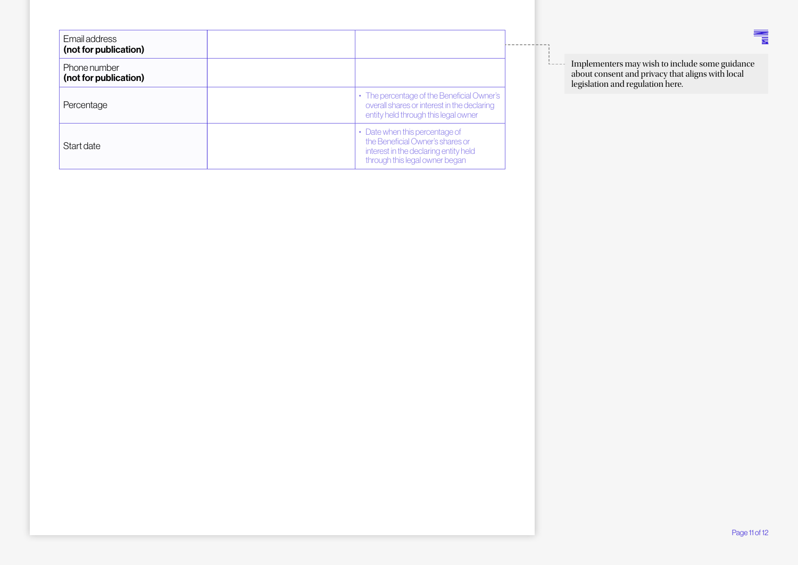<span id="page-10-0"></span>

| Email address<br>(not for publication) |                                                                                                                                               |
|----------------------------------------|-----------------------------------------------------------------------------------------------------------------------------------------------|
| Phone number<br>(not for publication)  |                                                                                                                                               |
| Percentage                             | • The percentage of the Beneficial Owner's<br>overall shares or interest in the declaring<br>entity held through this legal owner             |
| Start date                             | • Date when this percentage of<br>the Beneficial Owner's shares or<br>interest in the declaring entity held<br>through this legal owner began |

Implementers may wish to include some guidance about consent and privacy that aligns with local legislation and regulation here.

 $- - - -$ 

 $\frac{1}{b}$ 

鼍